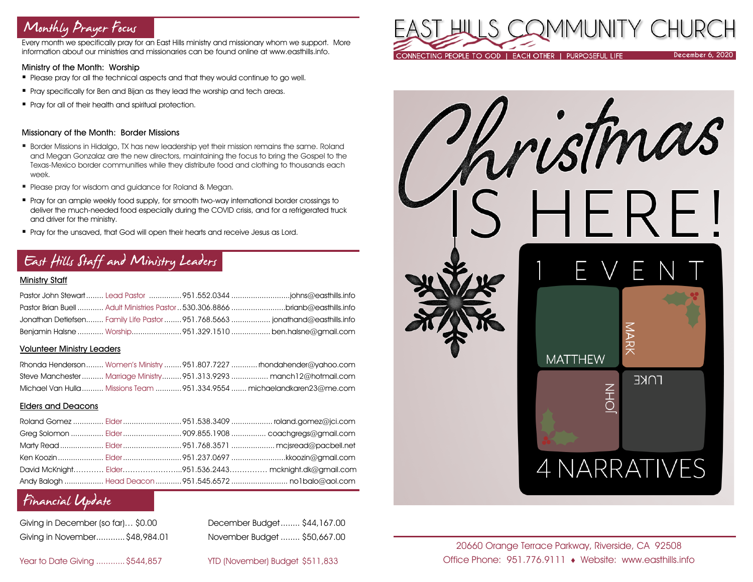# Monthly Prayer Focus

Every month we specifically pray for an East Hills ministry and missionary whom we support. More information about our ministries and missionaries can be found online at www.easthills.info.

## Ministry of the Month: Worship

- Please pray for all the technical aspects and that they would continue to go well.
- **•** Pray specifically for Ben and Bijan as they lead the worship and tech areas.
- Pray for all of their health and spiritual protection.

#### Missionary of the Month: Border Missions

- **Border Missions in Hidalgo, TX has new leadership yet their mission remains the same. Roland** and Megan Gonzalaz are the new directors, maintaining the focus to bring the Gospel to the Texas-Mexico border communities while they distribute food and clothing to thousands each week.
- Please pray for wisdom and auidance for Roland & Meaan.
- Pray for an ample weekly food supply, for smooth two-way international border crossings to deliver the much-needed food especially during the COVID crisis, and for a refrigerated truck and driver for the ministry.
- Pray for the unsaved, that God will open their hearts and receive Jesus as Lord.

# East Hills Staff and Ministry Leaders

## Ministry Staff

|  | Pastor Brian Buell  Adult Ministries Pastor 530.306.8866 brianb@easthills.info |
|--|--------------------------------------------------------------------------------|
|  | Jonathan Detlefsen Family Life Pastor 951.768.5663  jonathand@easthills.info   |
|  | Benjamin Halsne  Worship951.329.1510  ben.halsne@gmail.com                     |

#### Volunteer Ministry Leaders

|  | Rhonda Henderson Women's Ministry 951.807.7227  rhondahender@yahoo.com   |
|--|--------------------------------------------------------------------------|
|  | Steve Manchester  Marriage Ministry  951.313.9293  manch12@hotmail.com   |
|  | Michael Van Hulla  Missions Team  951.334.9554  michaelandkaren23@me.com |

## Elders and Deacons

|  | Ken Koozin  Elder 951.237.0697 kkoozin@gmail.com       |
|--|--------------------------------------------------------|
|  | David McKnight Elder951.536.2443 mcknight.dk@gmail.com |
|  |                                                        |

## Financial Update

| Giving in December (so far)\$0.00 |  |
|-----------------------------------|--|
| Giving in November\$48,984.01     |  |

December Budget........ \$44,167.00 Giving in November............\$48,984.01 November Budget ........ \$50,667.00

Year to Date Giving ............\$544,857 YTD (November) Budget \$511,833





20660 Orange Terrace Parkway, Riverside, CA 92508 Office Phone: 951.776.9111 Website: www.easthills.info